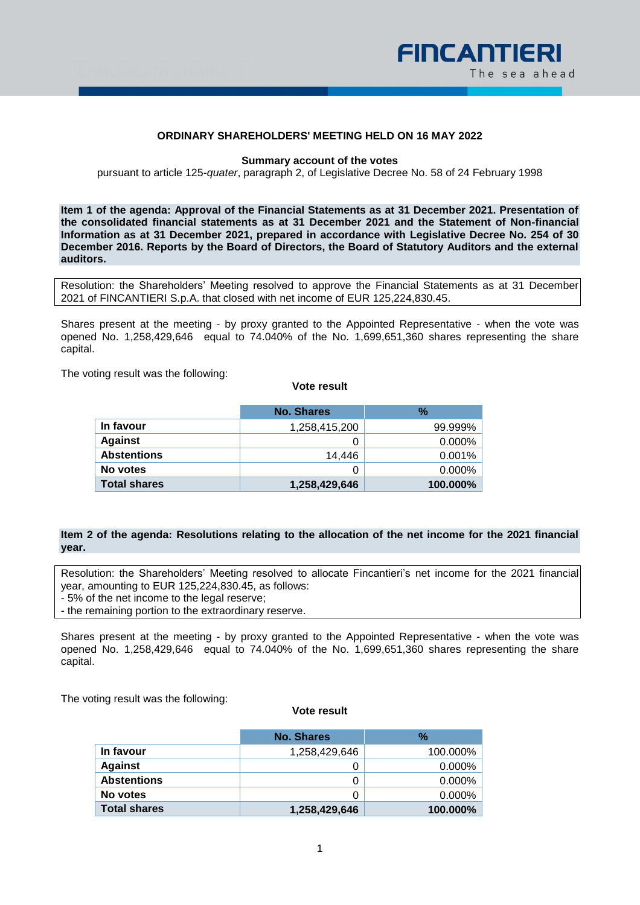

# **ORDINARY SHAREHOLDERS' MEETING HELD ON 16 MAY 2022**

#### **Summary account of the votes**

pursuant to article 125-*quater*, paragraph 2, of Legislative Decree No. 58 of 24 February 1998

**Item 1 of the agenda: Approval of the Financial Statements as at 31 December 2021. Presentation of the consolidated financial statements as at 31 December 2021 and the Statement of Non-financial Information as at 31 December 2021, prepared in accordance with Legislative Decree No. 254 of 30 December 2016. Reports by the Board of Directors, the Board of Statutory Auditors and the external auditors.**

Resolution: the Shareholders' Meeting resolved to approve the Financial Statements as at 31 December 2021 of FINCANTIERI S.p.A. that closed with net income of EUR 125,224,830.45.

Shares present at the meeting - by proxy granted to the Appointed Representative - when the vote was opened No. 1,258,429,646 equal to 74.040% of the No. 1,699,651,360 shares representing the share capital.

The voting result was the following:

### **Vote result**

|                     | <b>No. Shares</b> | $\frac{9}{6}$ |
|---------------------|-------------------|---------------|
| In favour           | 1,258,415,200     | 99.999%       |
| <b>Against</b>      |                   | $0.000\%$     |
| <b>Abstentions</b>  | 14.446            | 0.001%        |
| No votes            | O                 | $0.000\%$     |
| <b>Total shares</b> | 1,258,429,646     | 100.000%      |

## **Item 2 of the agenda: Resolutions relating to the allocation of the net income for the 2021 financial year.**

Resolution: the Shareholders' Meeting resolved to allocate Fincantieri's net income for the 2021 financial year, amounting to EUR 125,224,830.45, as follows: - 5% of the net income to the legal reserve;

- the remaining portion to the extraordinary reserve.

Shares present at the meeting - by proxy granted to the Appointed Representative - when the vote was opened No. 1,258,429,646 equal to 74.040% of the No. 1,699,651,360 shares representing the share capital.

The voting result was the following:

|                     | No. Shares    | $\%$      |
|---------------------|---------------|-----------|
| In favour           | 1,258,429,646 | 100.000%  |
| <b>Against</b>      |               | $0.000\%$ |
| <b>Abstentions</b>  | 0             | $0.000\%$ |
| No votes            | 0             | $0.000\%$ |
| <b>Total shares</b> | 1,258,429,646 | 100.000%  |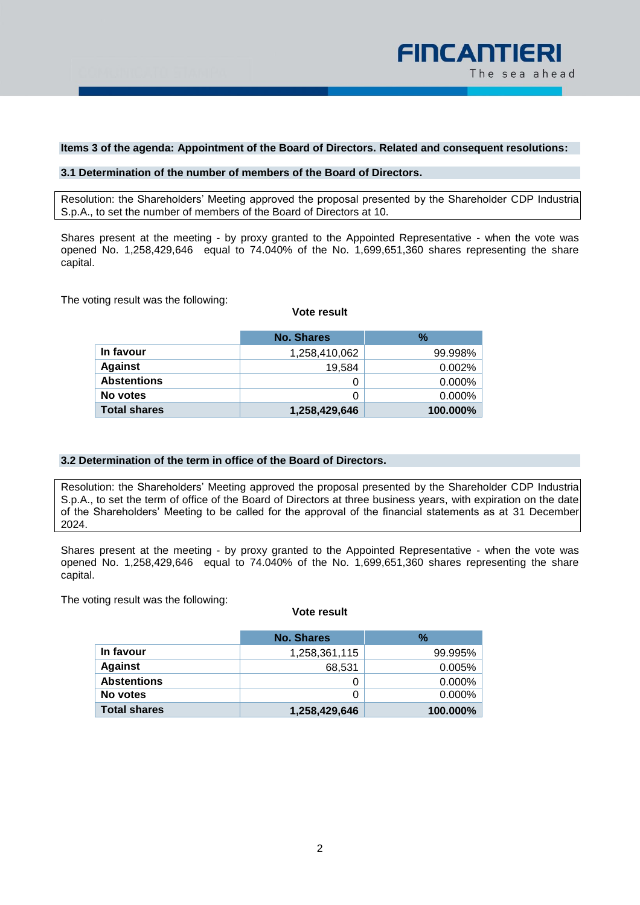

# **Items 3 of the agenda: Appointment of the Board of Directors. Related and consequent resolutions:**

# **3.1 Determination of the number of members of the Board of Directors.**

Resolution: the Shareholders' Meeting approved the proposal presented by the Shareholder CDP Industria S.p.A., to set the number of members of the Board of Directors at 10.

Shares present at the meeting - by proxy granted to the Appointed Representative - when the vote was opened No. 1,258,429,646 equal to 74.040% of the No. 1,699,651,360 shares representing the share capital.

The voting result was the following:

#### **Vote result**

|                     | No. Shares    | $\%$      |
|---------------------|---------------|-----------|
| In favour           | 1,258,410,062 | 99.998%   |
| <b>Against</b>      | 19.584        | 0.002%    |
| <b>Abstentions</b>  | 0             | $0.000\%$ |
| No votes            | 0             | $0.000\%$ |
| <b>Total shares</b> | 1,258,429,646 | 100.000%  |

## **3.2 Determination of the term in office of the Board of Directors.**

Resolution: the Shareholders' Meeting approved the proposal presented by the Shareholder CDP Industria S.p.A., to set the term of office of the Board of Directors at three business years, with expiration on the date of the Shareholders' Meeting to be called for the approval of the financial statements as at 31 December 2024.

Shares present at the meeting - by proxy granted to the Appointed Representative - when the vote was opened No. 1,258,429,646 equal to 74.040% of the No. 1,699,651,360 shares representing the share capital.

The voting result was the following:

|                     | <b>No. Shares</b> | %         |
|---------------------|-------------------|-----------|
|                     |                   |           |
| In favour           | 1,258,361,115     | 99.995%   |
| <b>Against</b>      | 68,531            | 0.005%    |
| <b>Abstentions</b>  | 0                 | $0.000\%$ |
| No votes            | 0                 | 0.000%    |
| <b>Total shares</b> | 1,258,429,646     | 100.000%  |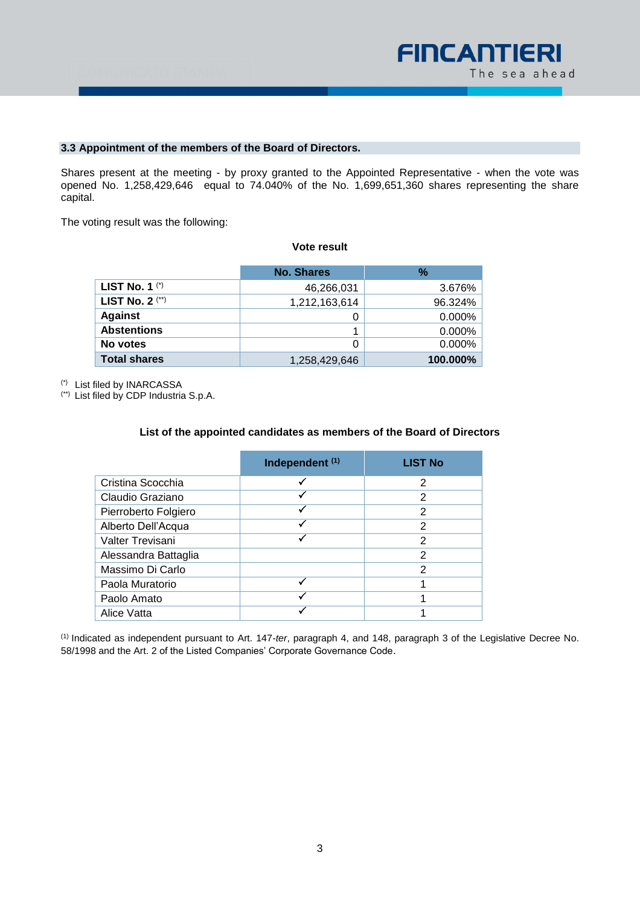

# **3.3 Appointment of the members of the Board of Directors.**

Shares present at the meeting - by proxy granted to the Appointed Representative - when the vote was opened No. 1,258,429,646 equal to 74.040% of the No. 1,699,651,360 shares representing the share capital.

The voting result was the following:

## **Vote result**

|                        | <b>No. Shares</b> | $\%$      |
|------------------------|-------------------|-----------|
| LIST No. 1 $(')$       | 46,266,031        | 3.676%    |
| <b>LIST No. 2 (**)</b> | 1,212,163,614     | 96.324%   |
| <b>Against</b>         | 0                 | $0.000\%$ |
| <b>Abstentions</b>     |                   | $0.000\%$ |
| No votes               | 0                 | 0.000%    |
| <b>Total shares</b>    | 1,258,429,646     | 100.000%  |

(\*) List filed by INARCASSA

(\*\*) List filed by CDP Industria S.p.A.

## **List of the appointed candidates as members of the Board of Directors**

|                      | Independent <sup>(1)</sup> | <b>LIST No</b> |
|----------------------|----------------------------|----------------|
| Cristina Scocchia    |                            | 2              |
| Claudio Graziano     |                            | 2              |
| Pierroberto Folgiero |                            | 2              |
| Alberto Dell'Acqua   |                            | 2              |
| Valter Trevisani     |                            | 2              |
| Alessandra Battaglia |                            | 2              |
| Massimo Di Carlo     |                            | 2              |
| Paola Muratorio      |                            |                |
| Paolo Amato          |                            |                |
| Alice Vatta          |                            |                |

(1) Indicated as independent pursuant to Art. 147-*ter*, paragraph 4, and 148, paragraph 3 of the Legislative Decree No. 58/1998 and the Art. 2 of the Listed Companies' Corporate Governance Code.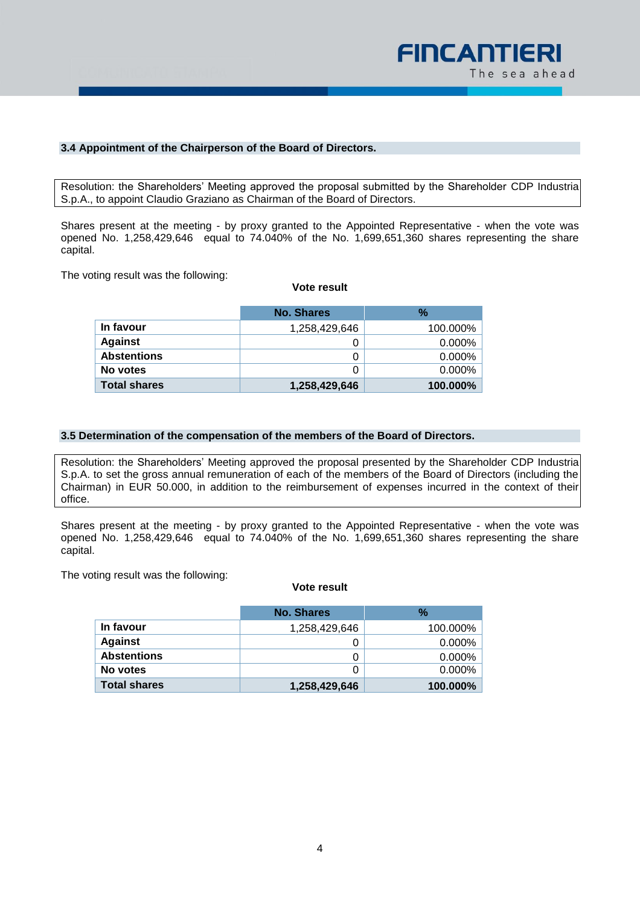

# **3.4 Appointment of the Chairperson of the Board of Directors.**

Resolution: the Shareholders' Meeting approved the proposal submitted by the Shareholder CDP Industria S.p.A., to appoint Claudio Graziano as Chairman of the Board of Directors.

Shares present at the meeting - by proxy granted to the Appointed Representative - when the vote was opened No. 1,258,429,646 equal to 74.040% of the No. 1,699,651,360 shares representing the share capital.

The voting result was the following:

#### **Vote result**

|                     | No. Shares    | %         |
|---------------------|---------------|-----------|
| In favour           | 1,258,429,646 | 100.000%  |
| <b>Against</b>      | Ü             | $0.000\%$ |
| <b>Abstentions</b>  | 0             | $0.000\%$ |
| No votes            | 0             | 0.000%    |
| <b>Total shares</b> | 1,258,429,646 | 100.000%  |

#### **3.5 Determination of the compensation of the members of the Board of Directors.**

Resolution: the Shareholders' Meeting approved the proposal presented by the Shareholder CDP Industria S.p.A. to set the gross annual remuneration of each of the members of the Board of Directors (including the Chairman) in EUR 50.000, in addition to the reimbursement of expenses incurred in the context of their office.

Shares present at the meeting - by proxy granted to the Appointed Representative - when the vote was opened No. 1,258,429,646 equal to 74.040% of the No. 1,699,651,360 shares representing the share capital.

The voting result was the following:

|                     | No. Shares    | $\%$      |
|---------------------|---------------|-----------|
| In favour           | 1,258,429,646 | 100.000%  |
| <b>Against</b>      |               | $0.000\%$ |
| <b>Abstentions</b>  | 0             | $0.000\%$ |
| No votes            |               | $0.000\%$ |
| <b>Total shares</b> | 1,258,429,646 | 100.000%  |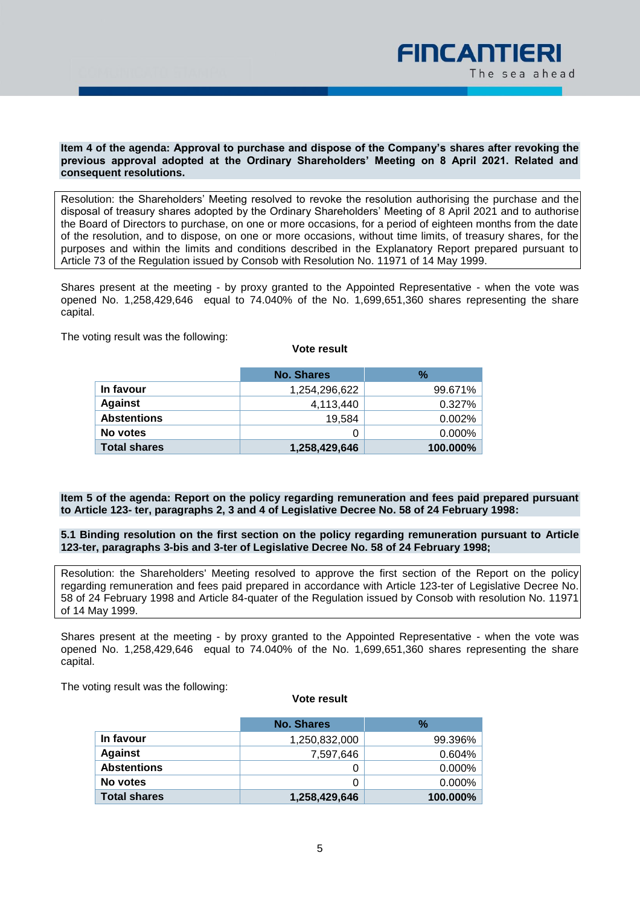

### **Item 4 of the agenda: Approval to purchase and dispose of the Company's shares after revoking the previous approval adopted at the Ordinary Shareholders' Meeting on 8 April 2021. Related and consequent resolutions.**

Resolution: the Shareholders' Meeting resolved to revoke the resolution authorising the purchase and the disposal of treasury shares adopted by the Ordinary Shareholders' Meeting of 8 April 2021 and to authorise the Board of Directors to purchase, on one or more occasions, for a period of eighteen months from the date of the resolution, and to dispose, on one or more occasions, without time limits, of treasury shares, for the purposes and within the limits and conditions described in the Explanatory Report prepared pursuant to Article 73 of the Regulation issued by Consob with Resolution No. 11971 of 14 May 1999.

Shares present at the meeting - by proxy granted to the Appointed Representative - when the vote was opened No. 1,258,429,646 equal to 74.040% of the No. 1,699,651,360 shares representing the share capital.

The voting result was the following:

|                     | <b>No. Shares</b> | $\%$      |
|---------------------|-------------------|-----------|
| In favour           | 1,254,296,622     | 99.671%   |
| <b>Against</b>      | 4,113,440         | 0.327%    |
| <b>Abstentions</b>  | 19.584            | 0.002%    |
| No votes            |                   | $0.000\%$ |
| <b>Total shares</b> | 1,258,429,646     | 100.000%  |

# **Item 5 of the agenda: Report on the policy regarding remuneration and fees paid prepared pursuant to Article 123- ter, paragraphs 2, 3 and 4 of Legislative Decree No. 58 of 24 February 1998:**

## **5.1 Binding resolution on the first section on the policy regarding remuneration pursuant to Article 123-ter, paragraphs 3-bis and 3-ter of Legislative Decree No. 58 of 24 February 1998;**

Resolution: the Shareholders' Meeting resolved to approve the first section of the Report on the policy regarding remuneration and fees paid prepared in accordance with Article 123-ter of Legislative Decree No. 58 of 24 February 1998 and Article 84-quater of the Regulation issued by Consob with resolution No. 11971 of 14 May 1999.

Shares present at the meeting - by proxy granted to the Appointed Representative - when the vote was opened No. 1,258,429,646 equal to 74.040% of the No. 1,699,651,360 shares representing the share capital.

The voting result was the following:

## **Vote result**

|                     | No. Shares    | $\%$      |
|---------------------|---------------|-----------|
| In favour           | 1,250,832,000 | 99.396%   |
| <b>Against</b>      | 7,597,646     | 0.604%    |
| <b>Abstentions</b>  |               | $0.000\%$ |
| No votes            |               | $0.000\%$ |
| <b>Total shares</b> | 1,258,429,646 | 100.000%  |